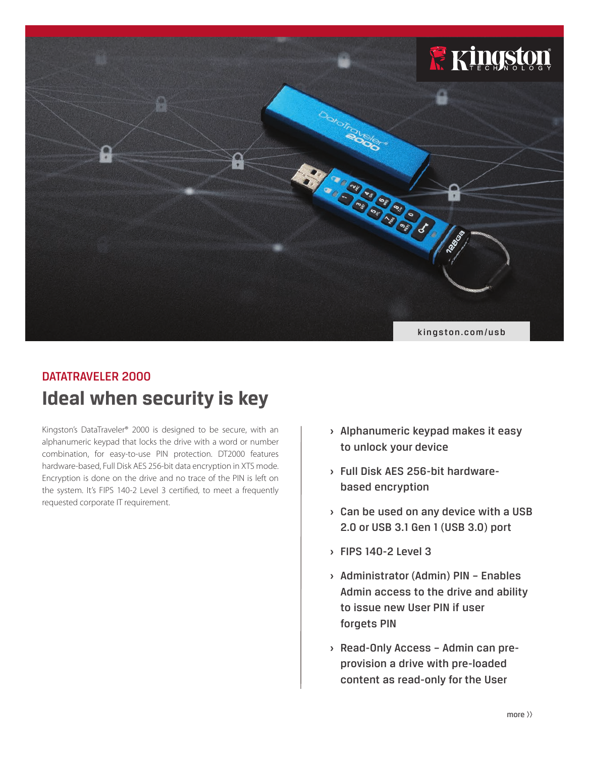

# **Ideal when security is key** DATATRAVELER 2000

Kingston's DataTraveler® 2000 is designed to be secure, with an alphanumeric keypad that locks the drive with a word or number combination, for easy-to-use PIN protection. DT2000 features hardware-based, Full Disk AES 256-bit data encryption in XTS mode. Encryption is done on the drive and no trace of the PIN is left on the system. It's FIPS 140-2 Level 3 certified, to meet a frequently requested corporate IT requirement.

- **›** Alphanumeric keypad makes it easy to unlock your device
- **›** Full Disk AES 256-bit hardwarebased encryption
- **›** Can be used on any device with a USB 2.0 or USB 3.1 Gen 1 (USB 3.0) port
- **›** FIPS 140-2 Level 3
- **›** Administrator (Admin) PIN Enables Admin access to the drive and ability to issue new User PIN if user forgets PIN
- **›** Read-Only Access Admin can preprovision a drive with pre-loaded content as read-only for the User